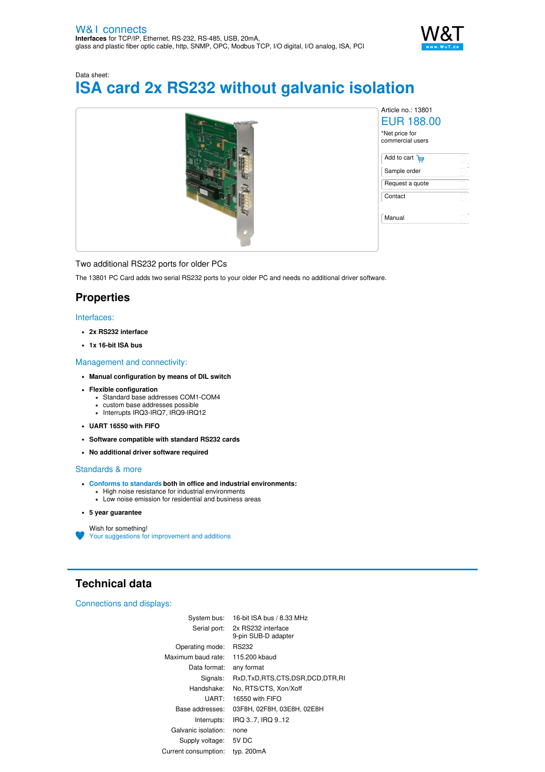

# Data sheet: **ISA card 2x RS232 without galvanic isolation**



Two additional RS232 ports for older PCs

The 13801 PC Card adds two serial RS232 ports to your older PC and needs no additional driver software.

# **Properties**

### Interfaces:

- **2x RS232 interface**
- **1x 16-bit ISA bus**

#### Management and connectivity:

- **Manual configuration by means of DIL switch**
- **Flexible configuration**
	- Standard base addresses COM1-COM4
	- custom base addresses possible Interrupts IRQ3-IRQ7, IRQ9-IRQ12
- **UART 16550 with FIFO**
- 
- **Software compatible with standard RS232 cards**
- **No additional driver software required**

### Standards & more

- **Conforms to [standards](https://www.wut.de/download/ce/e-13801-10-rdus-000.pdf) both in office and industrial environments:** High noise resistance for industrial environments
	- Low noise emission for residential and business areas
- **5 year guarantee**

Wish for something! Your suggestions for [improvement](https://www.wut.de/e-wwwww-ws-orus-000.php?ArticleNr=13801) and additions

# **Technical data**

#### Connections and displays:

| System bus:          | 16-bit ISA bus / 8.33 MHz                 |
|----------------------|-------------------------------------------|
| Serial port:         | 2x RS232 interface<br>9-pin SUB-D adapter |
| Operating mode:      | RS232                                     |
| Maximum baud rate:   | 115,200 kbaud                             |
| Data format:         | any format                                |
| Signals:             | RxD.TxD.RTS.CTS.DSR.DCD.DTR.RI            |
| Handshake:           | No, RTS/CTS, Xon/Xoff                     |
| UART:                | 16550 with FIFO                           |
| Base addresses:      | 03F8H, 02F8H, 03E8H, 02E8H                |
| Interrupts:          | IRQ 37. IRQ 912                           |
| Galvanic isolation:  | none                                      |
| Supply voltage:      | 5V DC                                     |
| Current consumption: | typ. 200mA                                |